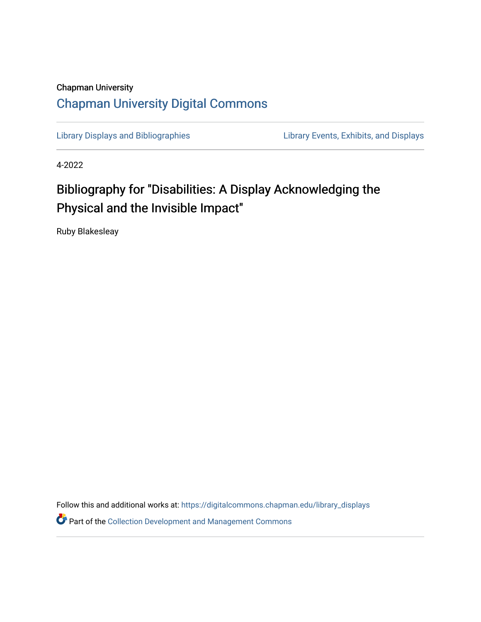## Chapman University [Chapman University Digital Commons](https://digitalcommons.chapman.edu/)

[Library Displays and Bibliographies](https://digitalcommons.chapman.edu/library_displays) Library Events, Exhibits, and Displays

4-2022

## Bibliography for "Disabilities: A Display Acknowledging the Physical and the Invisible Impact"

Ruby Blakesleay

Follow this and additional works at: [https://digitalcommons.chapman.edu/library\\_displays](https://digitalcommons.chapman.edu/library_displays?utm_source=digitalcommons.chapman.edu%2Flibrary_displays%2F22&utm_medium=PDF&utm_campaign=PDFCoverPages)

**P** Part of the Collection Development and Management Commons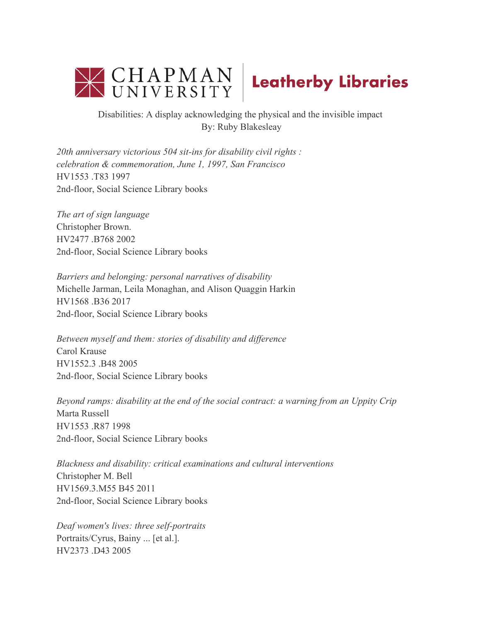



Disabilities: A display acknowledging the physical and the invisible impact By: Ruby Blakesleay

*20th anniversary victorious 504 sit-ins for disability civil rights : celebration & commemoration, June 1, 1997, San Francisco*  HV1553 .T83 1997 2nd-floor, Social Science Library books

*The art of sign language*  Christopher Brown. HV2477 .B768 2002 2nd-floor, Social Science Library books

*Barriers and belonging: personal narratives of disability*  Michelle Jarman, Leila Monaghan, and Alison Quaggin Harkin HV1568 .B36 2017 2nd-floor, Social Science Library books

*Between myself and them: stories of disability and difference*  Carol Krause HV1552.3 .B48 2005 2nd-floor, Social Science Library books

*Beyond ramps: disability at the end of the social contract: a warning from an Uppity Crip*  Marta Russell HV1553 .R87 1998 2nd-floor, Social Science Library books

*Blackness and disability: critical examinations and cultural interventions*  Christopher M. Bell HV1569.3.M55 B45 2011 2nd-floor, Social Science Library books

*Deaf women's lives: three self-portraits* Portraits/Cyrus, Bainy ... [et al.]. HV2373 .D43 2005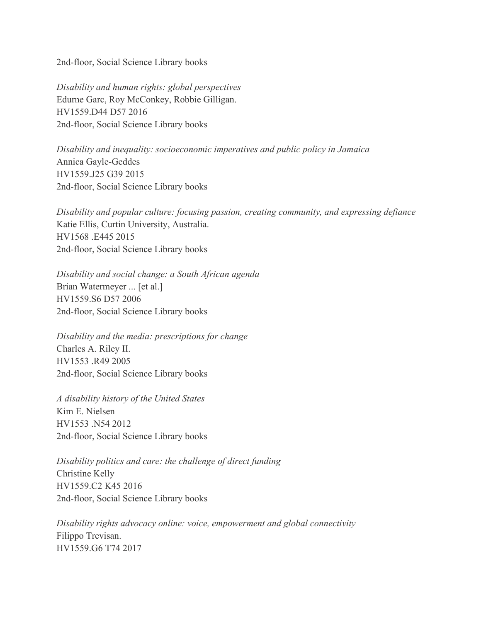2nd-floor, Social Science Library books

*Disability and human rights: global perspectives* Edurne Garc, Roy McConkey, Robbie Gilligan. HV1559.D44 D57 2016 2nd-floor, Social Science Library books

*Disability and inequality: socioeconomic imperatives and public policy in Jamaica*  Annica Gayle-Geddes HV1559.J25 G39 2015 2nd-floor, Social Science Library books

*Disability and popular culture: focusing passion, creating community, and expressing defiance*  Katie Ellis, Curtin University, Australia. HV1568 .E445 2015 2nd-floor, Social Science Library books

*Disability and social change: a South African agenda*  Brian Watermeyer ... [et al.] HV1559.S6 D57 2006 2nd-floor, Social Science Library books

*Disability and the media: prescriptions for change*  Charles A. Riley II. HV1553 .R49 2005 2nd-floor, Social Science Library books

*A disability history of the United States*  Kim E. Nielsen HV1553 .N54 2012 2nd-floor, Social Science Library books

*Disability politics and care: the challenge of direct funding*  Christine Kelly HV1559.C2 K45 2016 2nd-floor, Social Science Library books

*Disability rights advocacy online: voice, empowerment and global connectivity*  Filippo Trevisan. HV1559.G6 T74 2017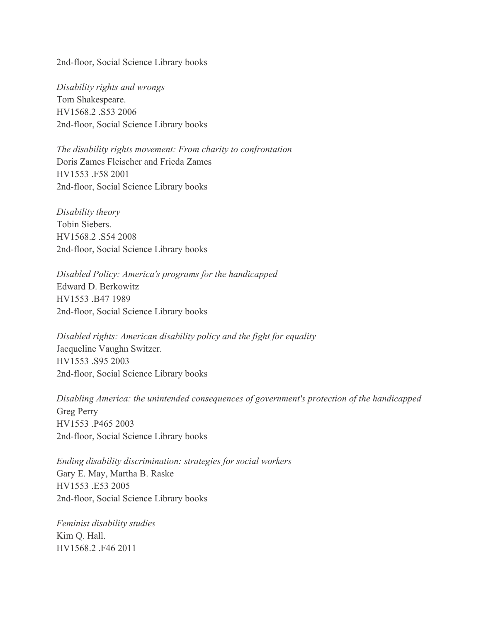2nd-floor, Social Science Library books

*Disability rights and wrongs*  Tom Shakespeare. HV1568.2 .S53 2006 2nd-floor, Social Science Library books

*The disability rights movement: From charity to confrontation*  Doris Zames Fleischer and Frieda Zames HV1553 .F58 2001 2nd-floor, Social Science Library books

*Disability theory*  Tobin Siebers. HV1568.2 .S54 2008 2nd-floor, Social Science Library books

*Disabled Policy: America's programs for the handicapped*  Edward D. Berkowitz HV1553 .B47 1989 2nd-floor, Social Science Library books

*Disabled rights: American disability policy and the fight for equality*  Jacqueline Vaughn Switzer. HV1553 .S95 2003 2nd-floor, Social Science Library books

*Disabling America: the unintended consequences of government's protection of the handicapped*  Greg Perry HV1553 .P465 2003 2nd-floor, Social Science Library books

*Ending disability discrimination: strategies for social workers*  Gary E. May, Martha B. Raske HV1553 .E53 2005 2nd-floor, Social Science Library books

*Feminist disability studies* Kim Q. Hall. HV1568.2 .F46 2011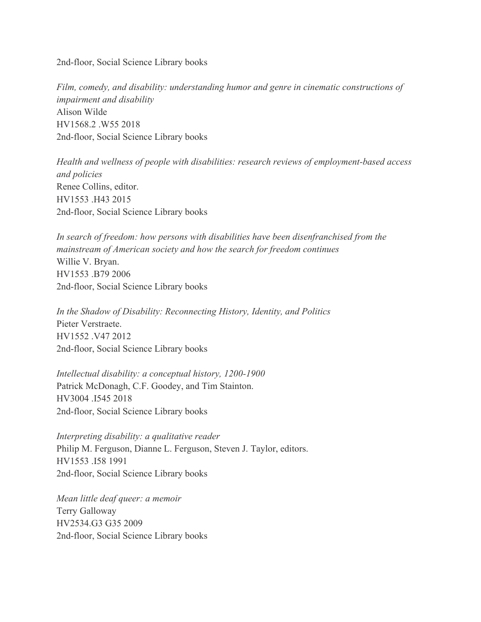2nd-floor, Social Science Library books

*Film, comedy, and disability: understanding humor and genre in cinematic constructions of impairment and disability*  Alison Wilde HV1568.2 .W55 2018 2nd-floor, Social Science Library books

*Health and wellness of people with disabilities: research reviews of employment-based access and policies*  Renee Collins, editor. HV1553 .H43 2015 2nd-floor, Social Science Library books

*In search of freedom: how persons with disabilities have been disenfranchised from the mainstream of American society and how the search for freedom continues*  Willie V. Bryan. HV1553 .B79 2006 2nd-floor, Social Science Library books

*In the Shadow of Disability: Reconnecting History, Identity, and Politics*  Pieter Verstraete. HV1552 .V47 2012 2nd-floor, Social Science Library books

*Intellectual disability: a conceptual history, 1200-1900*  Patrick McDonagh, C.F. Goodey, and Tim Stainton. HV3004 .I545 2018 2nd-floor, Social Science Library books

*Interpreting disability: a qualitative reader*  Philip M. Ferguson, Dianne L. Ferguson, Steven J. Taylor, editors. HV1553 .I58 1991 2nd-floor, Social Science Library books

*Mean little deaf queer: a memoir*  Terry Galloway HV2534.G3 G35 2009 2nd-floor, Social Science Library books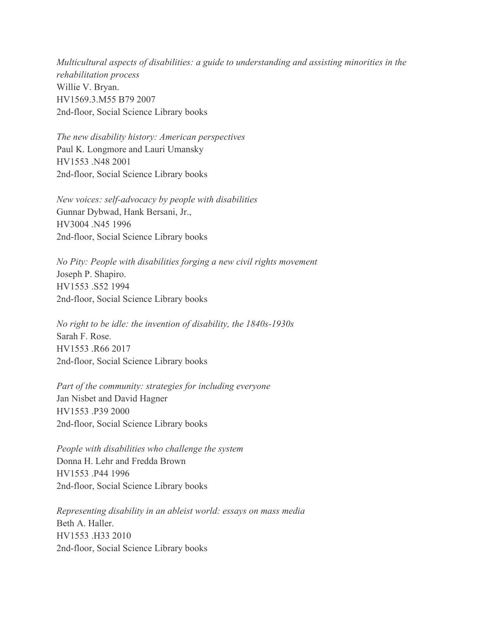*Multicultural aspects of disabilities: a guide to understanding and assisting minorities in the rehabilitation process*  Willie V. Bryan. HV1569.3.M55 B79 2007 2nd-floor, Social Science Library books

*The new disability history: American perspectives*  Paul K. Longmore and Lauri Umansky HV1553 .N48 2001 2nd-floor, Social Science Library books

*New voices: self-advocacy by people with disabilities*  Gunnar Dybwad, Hank Bersani, Jr., HV3004 .N45 1996 2nd-floor, Social Science Library books

*No Pity: People with disabilities forging a new civil rights movement*  Joseph P. Shapiro. HV1553 .S52 1994 2nd-floor, Social Science Library books

*No right to be idle: the invention of disability, the 1840s-1930s*  Sarah F. Rose. HV1553 .R66 2017 2nd-floor, Social Science Library books

*Part of the community: strategies for including everyone*  Jan Nisbet and David Hagner HV1553 .P39 2000 2nd-floor, Social Science Library books

*People with disabilities who challenge the system*  Donna H. Lehr and Fredda Brown HV1553 .P44 1996 2nd-floor, Social Science Library books

*Representing disability in an ableist world: essays on mass media*  Beth A. Haller. HV1553 .H33 2010 2nd-floor, Social Science Library books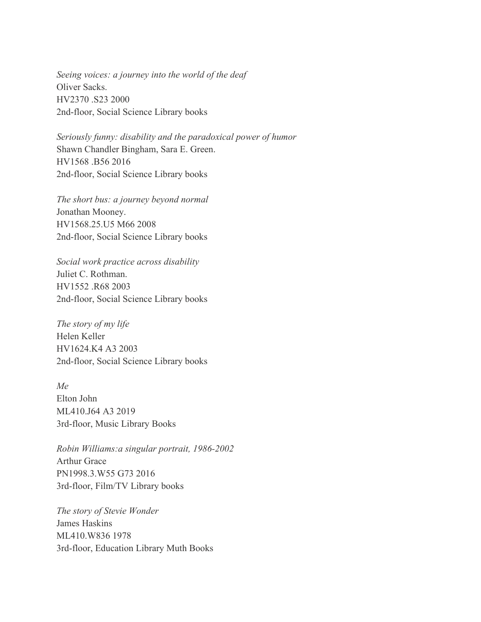*Seeing voices: a journey into the world of the deaf*  Oliver Sacks. HV2370 .S23 2000 2nd-floor, Social Science Library books

*Seriously funny: disability and the paradoxical power of humor*  Shawn Chandler Bingham, Sara E. Green. HV1568 .B56 2016 2nd-floor, Social Science Library books

*The short bus: a journey beyond normal*  Jonathan Mooney. HV1568.25.U5 M66 2008 2nd-floor, Social Science Library books

*Social work practice across disability*  Juliet C. Rothman. HV1552 .R68 2003 2nd-floor, Social Science Library books

*The story of my life*  Helen Keller HV1624.K4 A3 2003 2nd-floor, Social Science Library books

*Me* Elton John ML410.J64 A3 2019 3rd-floor, Music Library Books

*Robin Williams:a singular portrait, 1986-2002*  Arthur Grace PN1998.3.W55 G73 2016 3rd-floor, Film/TV Library books

*The story of Stevie Wonder* James Haskins ML410.W836 1978 3rd-floor, Education Library Muth Books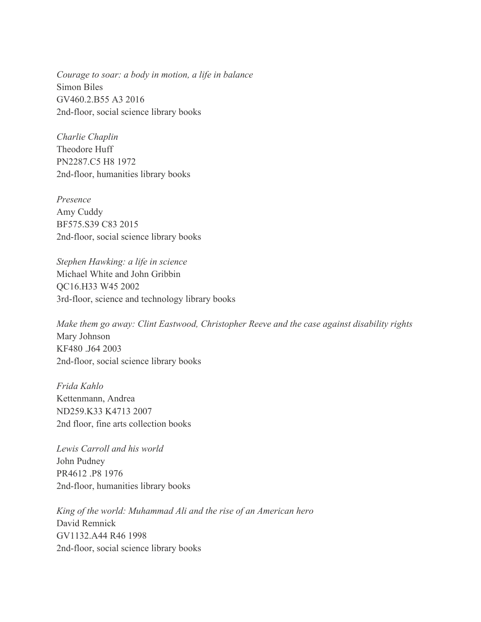*Courage to soar: a body in motion, a life in balance*  Simon Biles GV460.2.B55 A3 2016 2nd-floor, social science library books

*Charlie Chaplin*  Theodore Huff PN2287.C5 H8 1972 2nd-floor, humanities library books

*Presence* Amy Cuddy BF575.S39 C83 2015 2nd-floor, social science library books

*Stephen Hawking: a life in science*  Michael White and John Gribbin QC16.H33 W45 2002 3rd-floor, science and technology library books

*Make them go away: Clint Eastwood, Christopher Reeve and the case against disability rights*  Mary Johnson KF480 .J64 2003 2nd-floor, social science library books

*Frida Kahlo*  Kettenmann, Andrea ND259.K33 K4713 2007 2nd floor, fine arts collection books

*Lewis Carroll and his world*  John Pudney PR4612 .P8 1976 2nd-floor, humanities library books

*King of the world: Muhammad Ali and the rise of an American hero*  David Remnick GV1132.A44 R46 1998 2nd-floor, social science library books